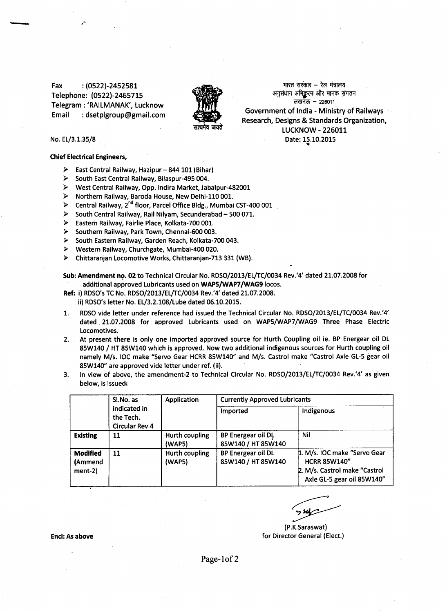Fax: (0522)-2452581 Telephone: (0522)-2465715 Telegram: 'RAILMANAK', Lucknow Email: [dsetplgroup@gmail.com](mailto:dsetplgroup@gmail.com)



भारत सरकार – रेल मंत्रालय अनुसंधान अभिकुल्प और मानक संगठन लखनऊ  $-226011$ Government of India - Ministry of Railways Research, Designs & Standards Organization, LUCKNOW - 226011 Date: 15.10.2015

'"

## No. EL/3.1.35/8

## Chief Electrical Engineers,

- $\triangleright$  East Central Railway, Hazipur 844 101 (Bihar)
- ~ South East Central Railway, Bilaspur-495 004.
- ~ West Central Railway, Opp. Indira Market, Jabalpur-482001
- ~ Northern Railway, Baroda House, New Delhi-110 001.
- ► Central Railway, 2<sup>nd</sup> floor, Parcel Office Bldg., Mumbai CST-400 001
- $\triangleright$  South Central Railway, Rail Nilyam, Secunderabad 500 071.
- ~ Eastern Railway, Fairlie Place, Kolkata-700 001.
- ~ Southern Railway, Park Town, Chennai-600 003.
- ~ South Eastern Railway, Garden Reach, Kolkata-700 043.
- ~ Western Railway, Churchgate, Mumbai-400 020.
- ~ Chittaranjan Locomotive Works, Chittaranjan-713 331 (WB).

Sub: Amendment no. 02 to Technical Circular No. *RDSO/2013/EL/TC/0034 Rev.'4' dated 21.07.2008* for additional approved Lubricants used on WAP5/WAP7/WAG9 locos.

- Ref: i) RDSO's TC No. *RDSO/2013/EL/TC/0034* Rev.'4' dated 21.07.2008. ii) RDSO's letter No. EL/3.2.108/Lube dated 06.10.2015.
- 1. RDSO vide letter under reference had issued the Technical Circular No. *RDSO/2013/EL/TC/0034* Rev.'4' dated 21.07.2008 for approved Lubricants used on WAP5/WAP7/WAG9 Three Phase Electric Locomotives.
- 2. At present there is only one imported approved source for Hurth Coupling oil ie. BP Energear oil DL 85W140 *I* HT 85W140 which is approved. Now two additional indigenous sources for Hurth coupling oil namely *MIs.* IOC make "Servo Gear HCRR 85W140" and *MIs.* Castrol make "Castrol Axle GL-5 gear oil 85W140" are approved vide letter under ref. (ii).
- 3. In view of above, the amendment-2 to Technical Circular No. *RDSO/2013/EL/TC/0034* Rev.'4' as given below, is issued:

|                                         | Sl.No. as<br>indicated in<br>the Tech.<br><b>Circular Rev.4</b> | Application              | <b>Currently Approved Lubricants</b>     |                                                                                                                    |
|-----------------------------------------|-----------------------------------------------------------------|--------------------------|------------------------------------------|--------------------------------------------------------------------------------------------------------------------|
|                                         |                                                                 |                          | <i>imported</i>                          | Indigenous                                                                                                         |
| <b>Existing</b>                         | 11                                                              | Hurth coupling<br>(WAP5) | BP Energear oil DL<br>85W140 / HT 85W140 | Nil                                                                                                                |
| <b>Modified</b><br>(Ammend<br>$ment-2)$ | 11                                                              | Hurth coupling<br>(WAP5) | BP Energear oil DL<br>85W140 / HT 85W140 | 1. M/s. IOC make "Servo Gear<br><b>HCRR 85W140"</b><br>2. M/s. Castrol make "Castrol<br>Axle GL-5 gear oil 85W140" |

~

(P.K.Saraswat) for Director General (Elect.)

**Encl: As above** 

Page-lof 2